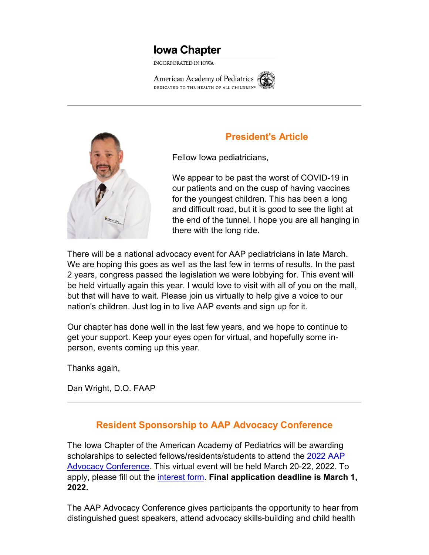# **Iowa Chapter**

INCORPORATED IN IOWA

American Academy of Pediatrics DEDICATED TO THE HEALTH OF ALL CHILDREN®





### **President's Article**

Fellow Iowa pediatricians,

We appear to be past the worst of COVID-19 in our patients and on the cusp of having vaccines for the youngest children. This has been a long and difficult road, but it is good to see the light at the end of the tunnel. I hope you are all hanging in there with the long ride.

There will be a national advocacy event for AAP pediatricians in late March. We are hoping this goes as well as the last few in terms of results. In the past 2 years, congress passed the legislation we were lobbying for. This event will be held virtually again this year. I would love to visit with all of you on the mall, but that will have to wait. Please join us virtually to help give a voice to our nation's children. Just log in to live AAP events and sign up for it.

Our chapter has done well in the last few years, and we hope to continue to get your support. Keep your eyes open for virtual, and hopefully some inperson, events coming up this year.

Thanks again,

Dan Wright, D.O. FAAP

## **Resident Sponsorship to AAP Advocacy Conference**

The Iowa Chapter of the American Academy of Pediatrics will be awarding scholarships to selected fellows/residents/students to attend the [2022 AAP](https://www.iowamedical.org/EmailTracker/LinkTracker.ashx?linkAndRecipientCode=STq8x4KfYfuA1MUw4aeOG9npDk9vaCECzvkg%2bB7mYbMWFZg%2fOv3BkYjhHRw4utnVvCLjuExR6xLRQzCZOFmZ1rKOOowgeW5zGzVrjrxeTAU%3d)  [Advocacy Conference.](https://www.iowamedical.org/EmailTracker/LinkTracker.ashx?linkAndRecipientCode=STq8x4KfYfuA1MUw4aeOG9npDk9vaCECzvkg%2bB7mYbMWFZg%2fOv3BkYjhHRw4utnVvCLjuExR6xLRQzCZOFmZ1rKOOowgeW5zGzVrjrxeTAU%3d) This virtual event will be held March 20-22, 2022. To apply, please fill out the [interest form.](https://www.iowamedical.org/EmailTracker/LinkTracker.ashx?linkAndRecipientCode=zVnnv8NuLUkjwclTHQLBcGuslcKGgJ6AtvMlqw2KK2rOfjLsAxsZATUbQ9Kx9kNzsKFYFEWpoYiP87T3vRiQzgWWUiL6NyWgzysPWh8sxpU%3d) **Final application deadline is March 1, 2022.**

The AAP Advocacy Conference gives participants the opportunity to hear from distinguished guest speakers, attend advocacy skills-building and child health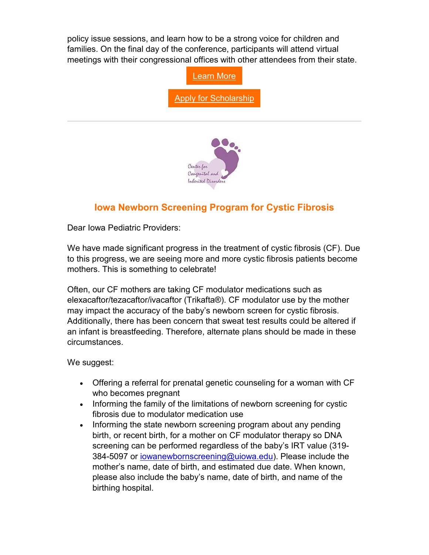policy issue sessions, and learn how to be a strong voice for children and families. On the final day of the conference, participants will attend virtual meetings with their congressional offices with other attendees from their state.



#### **Iowa Newborn Screening Program for Cystic Fibrosis**

Dear Iowa Pediatric Providers:

We have made significant progress in the treatment of cystic fibrosis (CF). Due to this progress, we are seeing more and more cystic fibrosis patients become mothers. This is something to celebrate!

Often, our CF mothers are taking CF modulator medications such as elexacaftor/tezacaftor/ivacaftor (Trikafta®). CF modulator use by the mother may impact the accuracy of the baby's newborn screen for cystic fibrosis. Additionally, there has been concern that sweat test results could be altered if an infant is breastfeeding. Therefore, alternate plans should be made in these circumstances.

We suggest:

- Offering a referral for prenatal genetic counseling for a woman with CF who becomes pregnant
- Informing the family of the limitations of newborn screening for cystic fibrosis due to modulator medication use
- Informing the state newborn screening program about any pending birth, or recent birth, for a mother on CF modulator therapy so DNA screening can be performed regardless of the baby's IRT value (319 384-5097 or [iowanewbornscreening@uiowa.edu\)](mailto:iowanewbornscreening@uiowa.edu). Please include the mother's name, date of birth, and estimated due date. When known, please also include the baby's name, date of birth, and name of the birthing hospital.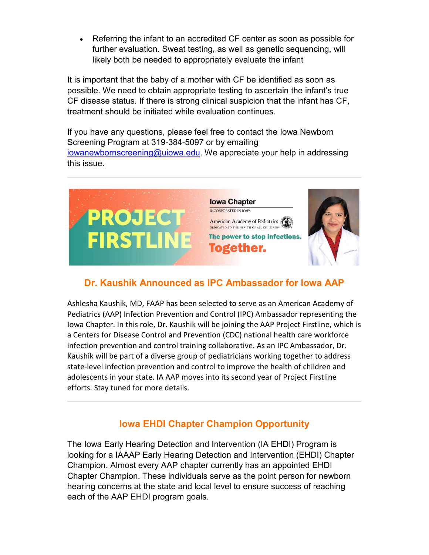• Referring the infant to an accredited CF center as soon as possible for further evaluation. Sweat testing, as well as genetic sequencing, will likely both be needed to appropriately evaluate the infant

It is important that the baby of a mother with CF be identified as soon as possible. We need to obtain appropriate testing to ascertain the infant's true CF disease status. If there is strong clinical suspicion that the infant has CF, treatment should be initiated while evaluation continues.

If you have any questions, please feel free to contact the Iowa Newborn Screening Program at 319-384-5097 or by emailing [iowanewbornscreening@uiowa.edu.](mailto:iowanewbornscreening@uiowa.edu) We appreciate your help in addressing this issue.



## **Dr. Kaushik Announced as IPC Ambassador for Iowa AAP**

Ashlesha Kaushik, MD, FAAP has been selected to serve as an American Academy of Pediatrics (AAP) Infection Prevention and Control (IPC) Ambassador representing the Iowa Chapter. In this role, Dr. Kaushik will be joining the AAP Project Firstline, which is a Centers for Disease Control and Prevention (CDC) national health care workforce infection prevention and control training collaborative. As an IPC Ambassador, Dr. Kaushik will be part of a diverse group of pediatricians working together to address state-level infection prevention and control to improve the health of children and adolescents in your state. IA AAP moves into its second year of Project Firstline efforts. Stay tuned for more details.

## **Iowa EHDI Chapter Champion Opportunity**

The Iowa Early Hearing Detection and Intervention (IA EHDI) Program is looking for a IAAAP Early Hearing Detection and Intervention (EHDI) Chapter Champion. Almost every AAP chapter currently has an appointed EHDI Chapter Champion. These individuals serve as the point person for newborn hearing concerns at the state and local level to ensure success of reaching each of the AAP EHDI program goals.